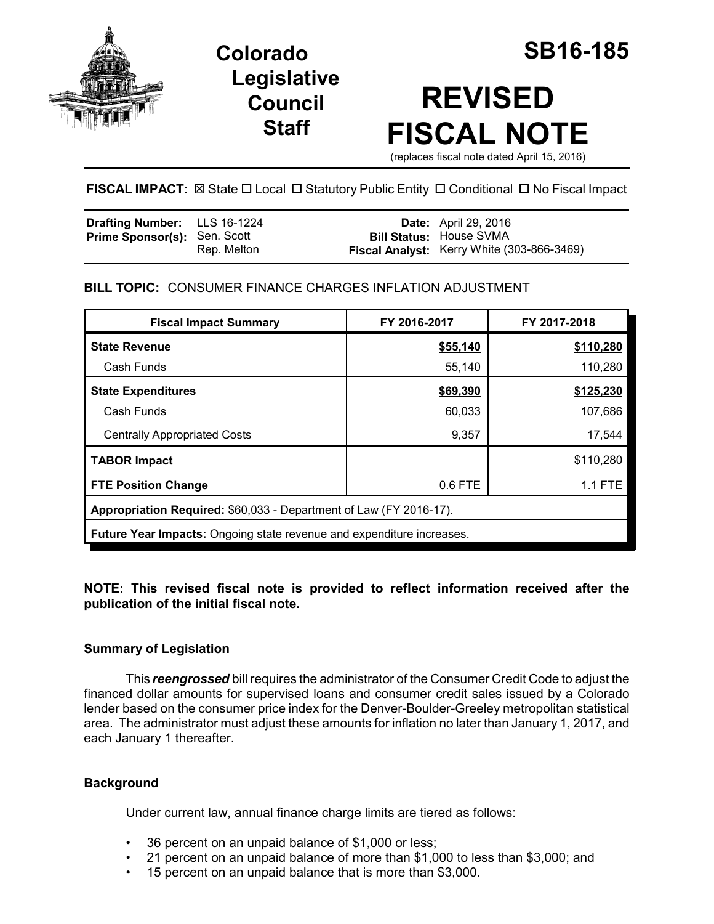

**Legislative Council Staff**

# **REVISED FISCAL NOTE**

(replaces fiscal note dated April 15, 2016)

**FISCAL IMPACT:**  $\boxtimes$  **State □ Local □ Statutory Public Entity □ Conditional □ No Fiscal Impact** 

| <b>Drafting Number:</b> LLS 16-1224 |             | <b>Date:</b> April 29, 2016                                                  |
|-------------------------------------|-------------|------------------------------------------------------------------------------|
| <b>Prime Sponsor(s): Sen. Scott</b> | Rep. Melton | <b>Bill Status: House SVMA</b><br>Fiscal Analyst: Kerry White (303-866-3469) |

# **BILL TOPIC:** CONSUMER FINANCE CHARGES INFLATION ADJUSTMENT

| <b>Fiscal Impact Summary</b>                                                 | FY 2016-2017 | FY 2017-2018   |  |  |  |
|------------------------------------------------------------------------------|--------------|----------------|--|--|--|
| <b>State Revenue</b>                                                         | \$55,140     | \$110,280      |  |  |  |
| Cash Funds                                                                   | 55,140       | 110,280        |  |  |  |
| <b>State Expenditures</b>                                                    | \$69,390     | \$125,230      |  |  |  |
| Cash Funds                                                                   | 60,033       | 107,686        |  |  |  |
| <b>Centrally Appropriated Costs</b>                                          | 9,357        | 17,544         |  |  |  |
| <b>TABOR Impact</b>                                                          |              | \$110,280      |  |  |  |
| <b>FTE Position Change</b>                                                   | 0.6 FTE      | <b>1.1 FTE</b> |  |  |  |
| Appropriation Required: \$60,033 - Department of Law (FY 2016-17).           |              |                |  |  |  |
| <b>Future Year Impacts:</b> Ongoing state revenue and expenditure increases. |              |                |  |  |  |

## **NOTE: This revised fiscal note is provided to reflect information received after the publication of the initial fiscal note.**

## **Summary of Legislation**

This *reengrossed* bill requires the administrator of the Consumer Credit Code to adjust the financed dollar amounts for supervised loans and consumer credit sales issued by a Colorado lender based on the consumer price index for the Denver-Boulder-Greeley metropolitan statistical area. The administrator must adjust these amounts for inflation no later than January 1, 2017, and each January 1 thereafter.

## **Background**

Under current law, annual finance charge limits are tiered as follows:

- 36 percent on an unpaid balance of \$1,000 or less;
- 21 percent on an unpaid balance of more than \$1,000 to less than \$3,000; and
- 15 percent on an unpaid balance that is more than \$3,000.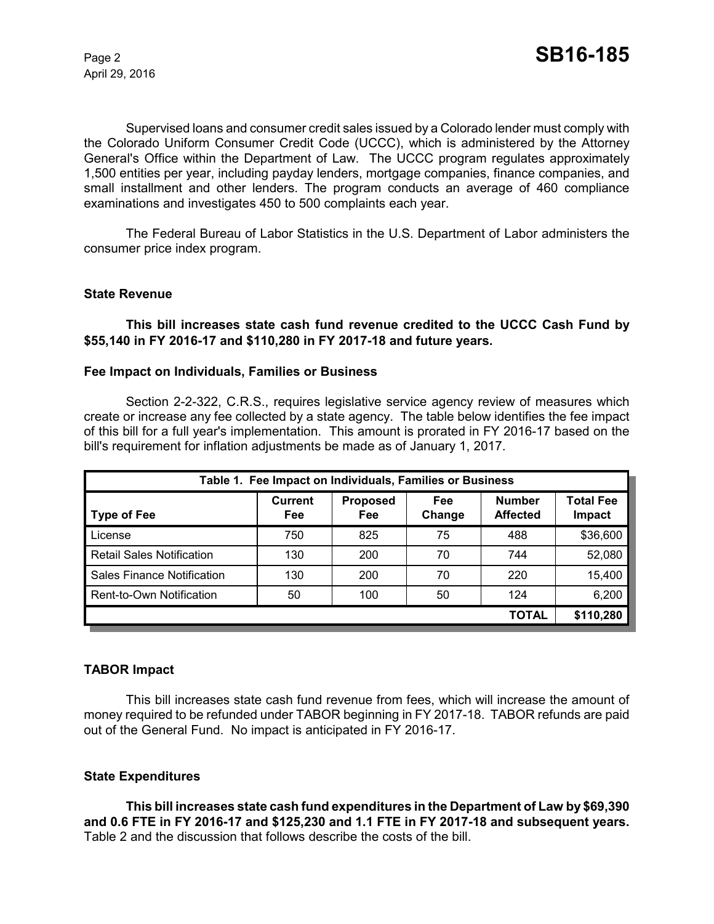April 29, 2016

Supervised loans and consumer credit sales issued by a Colorado lender must comply with the Colorado Uniform Consumer Credit Code (UCCC), which is administered by the Attorney General's Office within the Department of Law. The UCCC program regulates approximately 1,500 entities per year, including payday lenders, mortgage companies, finance companies, and small installment and other lenders. The program conducts an average of 460 compliance examinations and investigates 450 to 500 complaints each year.

The Federal Bureau of Labor Statistics in the U.S. Department of Labor administers the consumer price index program.

#### **State Revenue**

#### **This bill increases state cash fund revenue credited to the UCCC Cash Fund by \$55,140 in FY 2016-17 and \$110,280 in FY 2017-18 and future years.**

#### **Fee Impact on Individuals, Families or Business**

Section 2-2-322, C.R.S., requires legislative service agency review of measures which create or increase any fee collected by a state agency. The table below identifies the fee impact of this bill for a full year's implementation. This amount is prorated in FY 2016-17 based on the bill's requirement for inflation adjustments be made as of January 1, 2017.

| Table 1. Fee Impact on Individuals, Families or Business |                       |                        |               |                                  |                            |  |
|----------------------------------------------------------|-----------------------|------------------------|---------------|----------------------------------|----------------------------|--|
| <b>Type of Fee</b>                                       | <b>Current</b><br>Fee | <b>Proposed</b><br>Fee | Fee<br>Change | <b>Number</b><br><b>Affected</b> | <b>Total Fee</b><br>Impact |  |
| License                                                  | 750                   | 825                    | 75            | 488                              | \$36,600                   |  |
| <b>Retail Sales Notification</b>                         | 130                   | 200                    | 70            | 744                              | 52,080                     |  |
| <b>Sales Finance Notification</b>                        | 130                   | 200                    | 70            | 220                              | 15,400                     |  |
| Rent-to-Own Notification                                 | 50                    | 100                    | 50            | 124                              | 6,200                      |  |
|                                                          |                       |                        |               | <b>TOTAL</b>                     | \$110,280                  |  |

#### **TABOR Impact**

This bill increases state cash fund revenue from fees, which will increase the amount of money required to be refunded under TABOR beginning in FY 2017-18. TABOR refunds are paid out of the General Fund. No impact is anticipated in FY 2016-17.

#### **State Expenditures**

**This bill increases state cash fund expenditures in the Department of Law by \$69,390 and 0.6 FTE in FY 2016-17 and \$125,230 and 1.1 FTE in FY 2017-18 and subsequent years.**  Table 2 and the discussion that follows describe the costs of the bill.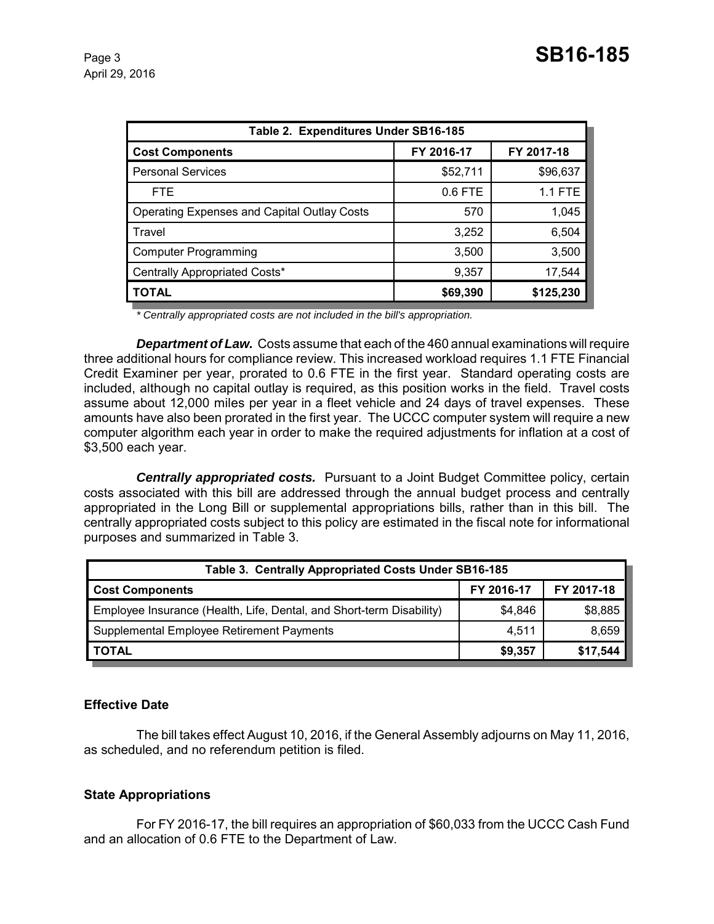| Table 2. Expenditures Under SB16-185               |            |                |  |  |  |
|----------------------------------------------------|------------|----------------|--|--|--|
| <b>Cost Components</b>                             | FY 2016-17 | FY 2017-18     |  |  |  |
| <b>Personal Services</b>                           | \$52,711   | \$96,637       |  |  |  |
| <b>FTE</b>                                         | 0.6 FTE    | <b>1.1 FTE</b> |  |  |  |
| <b>Operating Expenses and Capital Outlay Costs</b> | 570        | 1,045          |  |  |  |
| Travel                                             | 3,252      | 6,504          |  |  |  |
| <b>Computer Programming</b>                        | 3,500      | 3,500          |  |  |  |
| Centrally Appropriated Costs*                      | 9,357      | 17,544         |  |  |  |
| <b>TOTAL</b>                                       | \$69,390   | \$125,230      |  |  |  |

*\* Centrally appropriated costs are not included in the bill's appropriation.*

*Department of Law.* Costs assume that each of the 460 annual examinations will require three additional hours for compliance review. This increased workload requires 1.1 FTE Financial Credit Examiner per year, prorated to 0.6 FTE in the first year. Standard operating costs are included, although no capital outlay is required, as this position works in the field. Travel costs assume about 12,000 miles per year in a fleet vehicle and 24 days of travel expenses. These amounts have also been prorated in the first year. The UCCC computer system will require a new computer algorithm each year in order to make the required adjustments for inflation at a cost of \$3,500 each year.

*Centrally appropriated costs.* Pursuant to a Joint Budget Committee policy, certain costs associated with this bill are addressed through the annual budget process and centrally appropriated in the Long Bill or supplemental appropriations bills, rather than in this bill. The centrally appropriated costs subject to this policy are estimated in the fiscal note for informational purposes and summarized in Table 3.

| Table 3. Centrally Appropriated Costs Under SB16-185                 |            |            |  |  |
|----------------------------------------------------------------------|------------|------------|--|--|
| <b>Cost Components</b>                                               | FY 2016-17 | FY 2017-18 |  |  |
| Employee Insurance (Health, Life, Dental, and Short-term Disability) | \$4.846    | \$8,885    |  |  |
| Supplemental Employee Retirement Payments                            | 4.511      | 8,659      |  |  |
| <b>TOTAL</b>                                                         | \$9,357    | \$17,544   |  |  |

## **Effective Date**

The bill takes effect August 10, 2016, if the General Assembly adjourns on May 11, 2016, as scheduled, and no referendum petition is filed.

#### **State Appropriations**

For FY 2016-17, the bill requires an appropriation of \$60,033 from the UCCC Cash Fund and an allocation of 0.6 FTE to the Department of Law.